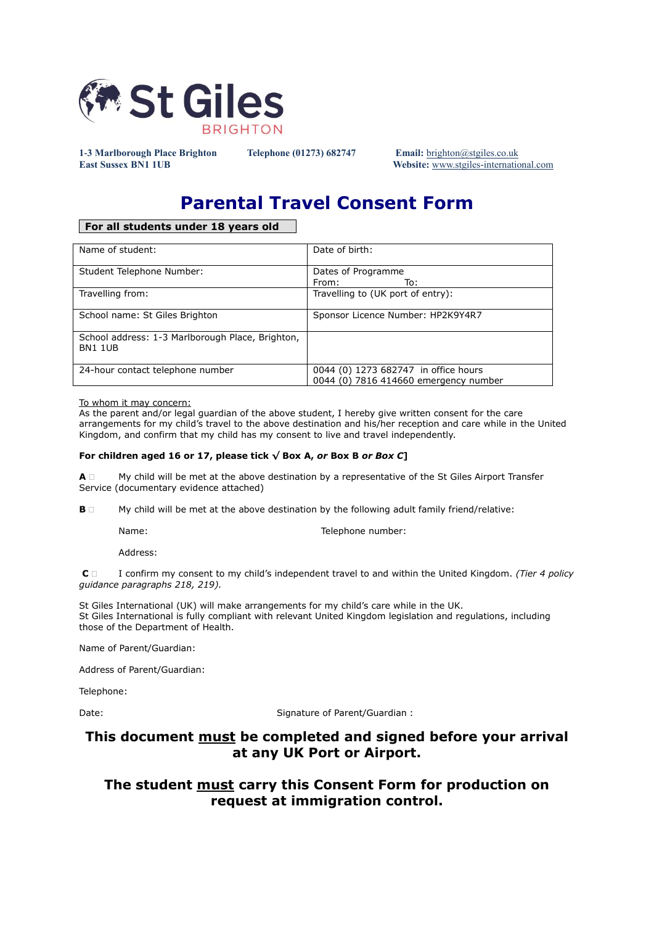

**1-3 Marlborough Place Brighton Telephone (01273) 682747 Email:** [brighton@stgiles.co.uk](mailto:brighton@stgiles.co.uk)

**East Sussex BN1 1UB Website:** [www.stgiles-international.com](http://www.stgiles-international.com/)

# **Parental Travel Consent Form**

### **For all students under 18 years old**

| Name of student:                                                   | Date of birth:                                                                |
|--------------------------------------------------------------------|-------------------------------------------------------------------------------|
| Student Telephone Number:                                          | Dates of Programme<br>From:<br>To:                                            |
| Travelling from:                                                   | Travelling to (UK port of entry):                                             |
| School name: St Giles Brighton                                     | Sponsor Licence Number: HP2K9Y4R7                                             |
| School address: 1-3 Marlborough Place, Brighton,<br><b>BN1 1UB</b> |                                                                               |
| 24-hour contact telephone number                                   | 0044 (0) 1273 682747 in office hours<br>0044 (0) 7816 414660 emergency number |

#### To whom it may concern:

As the parent and/or legal guardian of the above student, I hereby give written consent for the care arrangements for my child's travel to the above destination and his/her reception and care while in the United Kingdom, and confirm that my child has my consent to live and travel independently.

#### For children aged 16 or 17, please tick  $\sqrt{}$  Box A, or Box B or Box C]

**A**  $\Box$  My child will be met at the above destination by a representative of the St Giles Airport Transfer Service (documentary evidence attached)

**B**  $\Box$  My child will be met at the above destination by the following adult family friend/relative:

Name: Name: Name: Telephone number:

Address:

**C**  I confirm my consent to my child's independent travel to and within the United Kingdom. *(Tier 4 policy guidance paragraphs 218, 219).*

St Giles International (UK) will make arrangements for my child's care while in the UK. St Giles International is fully compliant with relevant United Kingdom legislation and regulations, including those of the Department of Health.

Name of Parent/Guardian:

Address of Parent/Guardian:

Telephone:

Date: Date: Signature of Parent/Guardian :

## **This document must be completed and signed before your arrival at any UK Port or Airport.**

## **The student must carry this Consent Form for production on request at immigration control.**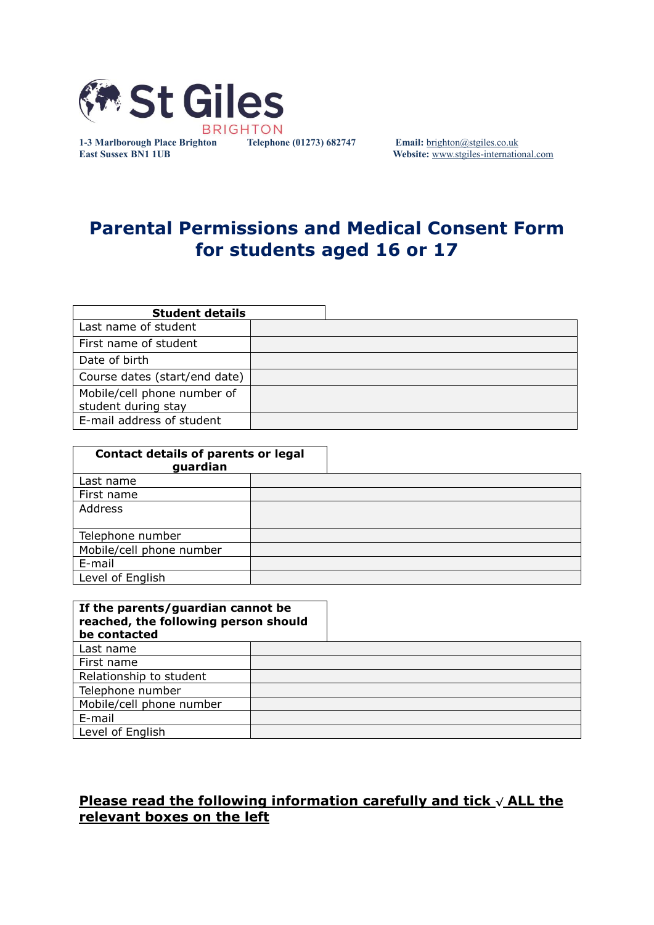

**1-3 Marlborough Place Brighton Telephone (01273) 682747 Email:** [brighton@stgiles.co.uk](mailto:brighton@stgiles.co.uk) **East Sussex BN1 1UB Website:** [www.stgiles-international.com](http://www.stgiles-international.com/)

# **Parental Permissions and Medical Consent Form for students aged 16 or 17**

| <b>Student details</b>                             |  |
|----------------------------------------------------|--|
| Last name of student                               |  |
| First name of student                              |  |
| Date of birth                                      |  |
| Course dates (start/end date)                      |  |
| Mobile/cell phone number of<br>student during stay |  |
| E-mail address of student                          |  |

| <b>Contact details of parents or legal</b><br>guardian |  |  |  |  |
|--------------------------------------------------------|--|--|--|--|
| Last name                                              |  |  |  |  |
| First name                                             |  |  |  |  |
| Address                                                |  |  |  |  |
|                                                        |  |  |  |  |
| Telephone number                                       |  |  |  |  |
| Mobile/cell phone number                               |  |  |  |  |
| E-mail                                                 |  |  |  |  |
| Level of English                                       |  |  |  |  |

| If the parents/guardian cannot be<br>reached, the following person should<br>be contacted |  |
|-------------------------------------------------------------------------------------------|--|
| Last name                                                                                 |  |
| First name                                                                                |  |
| Relationship to student                                                                   |  |
| Telephone number                                                                          |  |
| Mobile/cell phone number                                                                  |  |
| E-mail                                                                                    |  |
| Level of English                                                                          |  |

# **Please read the following information carefully and tick <sup>√</sup> ALL the relevant boxes on the left**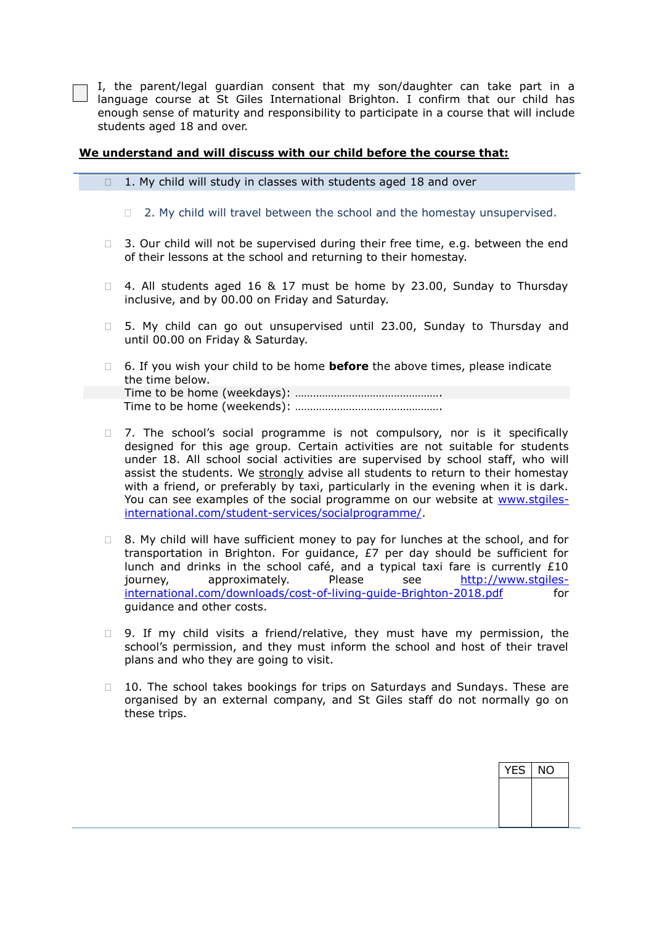I, the parent/legal guardian consent that my son/daughter can take part in a language course at St Giles International Brighton. I confirm that our child has enough sense of maturity and responsibility to participate in a course that will include students aged 18 and over.

### **We understand and will discuss with our child before the course that:**

 $\Box$  1. My child will study in classes with students aged 18 and over

 $\Box$  2. My child will travel between the school and the homestay unsupervised.

- $\Box$  3. Our child will not be supervised during their free time, e.g. between the end of their lessons at the school and returning to their homestay.
- $\Box$  4. All students aged 16 & 17 must be home by 23.00, Sunday to Thursday inclusive, and by 00.00 on Friday and Saturday.
- □ 5. My child can go out unsupervised until 23.00, Sunday to Thursday and until 00.00 on Friday & Saturday.
- 6. If you wish your child to be home **before** the above times, please indicate the time below. Time to be home (weekdays): …………………………………………. Time to be home (weekends): ………………………………………….
- □ 7. The school's social programme is not compulsory, nor is it specifically designed for this age group. Certain activities are not suitable for students under 18. All school social activities are supervised by school staff, who will assist the students. We strongly advise all students to return to their homestay with a friend, or preferably by taxi, particularly in the evening when it is dark. You can see examples of the social programme on our website at [www.stgiles](http://www.stgiles-international.com/student-services/socialprogramme/)[international.com/student-services/socialprogramme/.](http://www.stgiles-international.com/student-services/socialprogramme/)
- $\Box$  8. My child will have sufficient money to pay for lunches at the school, and for transportation in Brighton. For guidance, £7 per day should be sufficient for lunch and drinks in the school café, and a typical taxi fare is currently  $£10$ journey, approximately. Please see [http://www.stgiles](http://www.stgiles-international.com/downloads/cost-of-living-guide-Brighton-2018.pdf)[international.com/downloads/cost-of-living-guide-Brighton-2018.pdf](http://www.stgiles-international.com/downloads/cost-of-living-guide-Brighton-2018.pdf) for guidance and other costs.
- □ 9. If my child visits a friend/relative, they must have my permission, the school's permission, and they must inform the school and host of their travel plans and who they are going to visit.
- $\Box$  10. The school takes bookings for trips on Saturdays and Sundays. These are organised by an external company, and St Giles staff do not normally go on these trips.

YES | NO